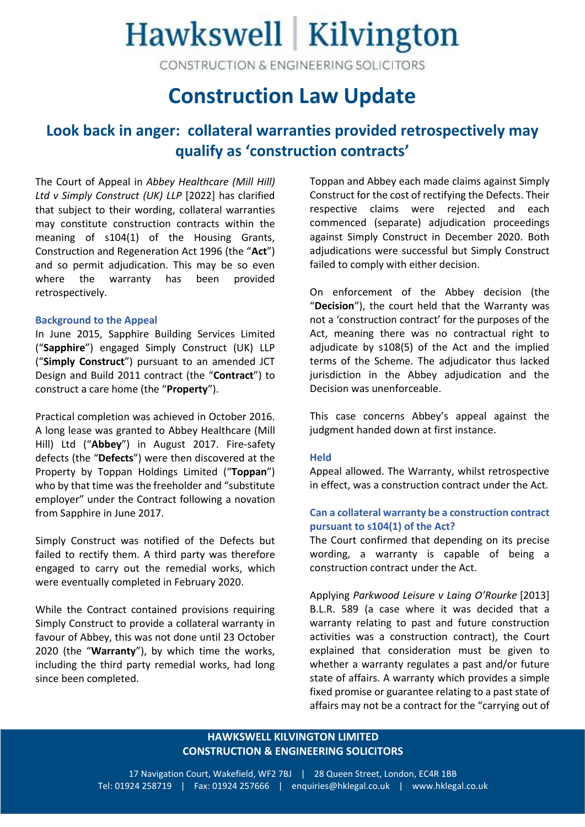## Hawkswell | Kilvington

CONSTRUCTION & ENGINEERING SOLICITORS

### **Construction Law Update**

### **Look back in anger: collateral warranties provided retrospectively may qualify as 'construction contracts'**

The Court of Appeal in *Abbey Healthcare (Mill Hill) Ltd v Simply Construct (UK) LLP* [2022] has clarified that subject to their wording, collateral warranties may constitute construction contracts within the meaning of s104(1) of the Housing Grants, Construction and Regeneration Act 1996 (the "**Act**") and so permit adjudication. This may be so even where the warranty has been provided retrospectively.

#### **Background to the Appeal**

In June 2015, Sapphire Building Services Limited ("**Sapphire**") engaged Simply Construct (UK) LLP ("**Simply Construct**") pursuant to an amended JCT Design and Build 2011 contract (the "**Contract**") to construct a care home (the "**Property**").

Practical completion was achieved in October 2016. A long lease was granted to Abbey Healthcare (Mill Hill) Ltd ("**Abbey**") in August 2017. Fire-safety defects (the "**Defects**") were then discovered at the Property by Toppan Holdings Limited ("**Toppan**") who by that time was the freeholder and "substitute employer" under the Contract following a novation from Sapphire in June 2017.

Simply Construct was notified of the Defects but failed to rectify them. A third party was therefore engaged to carry out the remedial works, which were eventually completed in February 2020.

While the Contract contained provisions requiring Simply Construct to provide a collateral warranty in favour of Abbey, this was not done until 23 October 2020 (the "**Warranty**"), by which time the works, including the third party remedial works, had long since been completed.

Toppan and Abbey each made claims against Simply Construct for the cost of rectifying the Defects. Their respective claims were rejected and each commenced (separate) adjudication proceedings against Simply Construct in December 2020. Both adjudications were successful but Simply Construct failed to comply with either decision.

On enforcement of the Abbey decision (the "**Decision**"), the court held that the Warranty was not a 'construction contract' for the purposes of the Act, meaning there was no contractual right to adjudicate by s108(5) of the Act and the implied terms of the Scheme. The adjudicator thus lacked jurisdiction in the Abbey adjudication and the Decision was unenforceable.

This case concerns Abbey's appeal against the judgment handed down at first instance.

### **Held**

Appeal allowed. The Warranty, whilst retrospective in effect, was a construction contract under the Act.

### **Can a collateral warranty be a construction contract pursuant to s104(1) of the Act?**

The Court confirmed that depending on its precise wording, a warranty is capable of being a construction contract under the Act.

Applying *Parkwood Leisure v Laing O'Rourke* [2013] B.L.R. 589 (a case where it was decided that a warranty relating to past and future construction activities was a construction contract), the Court explained that consideration must be given to whether a warranty regulates a past and/or future state of affairs. A warranty which provides a simple fixed promise or guarantee relating to a past state of affairs may not be a contract for the "carrying out of

### **HAWKSWELL KILVINGTON LIMITED CONSTRUCTION & ENGINEERING SOLICITORS**